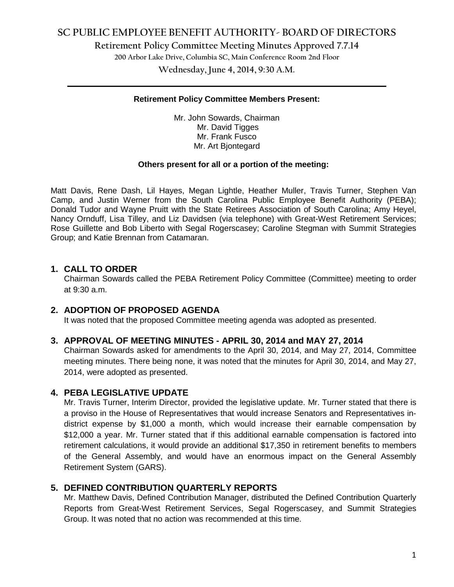**Retirement Policy Committee Meeting Minutes Approved 7.7.14**

**200 Arbor Lake Drive, Columbia SC, Main Conference Room 2nd Floor**

**Wednesday, June 4, 2014, 9:30 A.M. \_\_\_\_\_\_\_\_\_\_\_\_\_\_\_\_\_\_\_\_\_\_\_\_\_\_\_\_\_\_\_\_\_\_\_\_\_\_\_\_\_\_\_\_\_\_\_\_\_\_\_\_\_\_\_\_\_\_\_\_\_\_\_\_\_\_\_\_\_\_\_\_**

#### **Retirement Policy Committee Members Present:**

Mr. John Sowards, Chairman Mr. David Tigges Mr. Frank Fusco Mr. Art Bjontegard

#### **Others present for all or a portion of the meeting:**

Matt Davis, Rene Dash, Lil Hayes, Megan Lightle, Heather Muller, Travis Turner, Stephen Van Camp, and Justin Werner from the South Carolina Public Employee Benefit Authority (PEBA); Donald Tudor and Wayne Pruitt with the State Retirees Association of South Carolina; Amy Heyel, Nancy Ornduff, Lisa Tilley, and Liz Davidsen (via telephone) with Great-West Retirement Services; Rose Guillette and Bob Liberto with Segal Rogerscasey; Caroline Stegman with Summit Strategies Group; and Katie Brennan from Catamaran.

## **1. CALL TO ORDER**

Chairman Sowards called the PEBA Retirement Policy Committee (Committee) meeting to order at 9:30 a.m.

### **2. ADOPTION OF PROPOSED AGENDA**

It was noted that the proposed Committee meeting agenda was adopted as presented.

### **3. APPROVAL OF MEETING MINUTES - APRIL 30, 2014 and MAY 27, 2014**

Chairman Sowards asked for amendments to the April 30, 2014, and May 27, 2014, Committee meeting minutes. There being none, it was noted that the minutes for April 30, 2014, and May 27, 2014, were adopted as presented.

### **4. PEBA LEGISLATIVE UPDATE**

Mr. Travis Turner, Interim Director, provided the legislative update. Mr. Turner stated that there is a proviso in the House of Representatives that would increase Senators and Representatives indistrict expense by \$1,000 a month, which would increase their earnable compensation by \$12,000 a year. Mr. Turner stated that if this additional earnable compensation is factored into retirement calculations, it would provide an additional \$17,350 in retirement benefits to members of the General Assembly, and would have an enormous impact on the General Assembly Retirement System (GARS).

### **5. DEFINED CONTRIBUTION QUARTERLY REPORTS**

Mr. Matthew Davis, Defined Contribution Manager, distributed the Defined Contribution Quarterly Reports from Great-West Retirement Services, Segal Rogerscasey, and Summit Strategies Group. It was noted that no action was recommended at this time.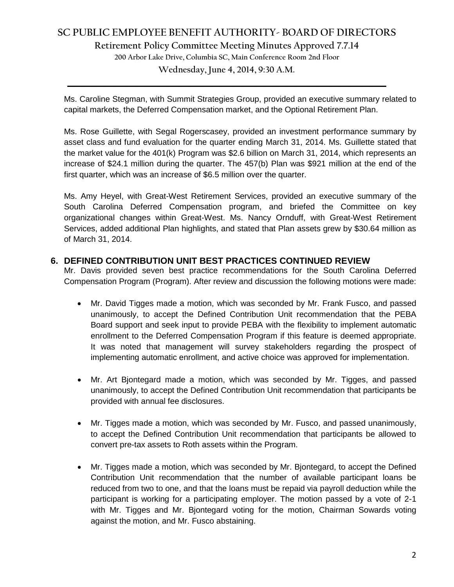**Retirement Policy Committee Meeting Minutes Approved 7.7.14**

**200 Arbor Lake Drive, Columbia SC, Main Conference Room 2nd Floor**

**Wednesday, June 4, 2014, 9:30 A.M. \_\_\_\_\_\_\_\_\_\_\_\_\_\_\_\_\_\_\_\_\_\_\_\_\_\_\_\_\_\_\_\_\_\_\_\_\_\_\_\_\_\_\_\_\_\_\_\_\_\_\_\_\_\_\_\_\_\_\_\_\_\_\_\_\_\_\_\_\_\_\_\_**

Ms. Caroline Stegman, with Summit Strategies Group, provided an executive summary related to capital markets, the Deferred Compensation market, and the Optional Retirement Plan.

Ms. Rose Guillette, with Segal Rogerscasey, provided an investment performance summary by asset class and fund evaluation for the quarter ending March 31, 2014. Ms. Guillette stated that the market value for the 401(k) Program was \$2.6 billion on March 31, 2014, which represents an increase of \$24.1 million during the quarter. The 457(b) Plan was \$921 million at the end of the first quarter, which was an increase of \$6.5 million over the quarter.

Ms. Amy Heyel, with Great-West Retirement Services, provided an executive summary of the South Carolina Deferred Compensation program, and briefed the Committee on key organizational changes within Great-West. Ms. Nancy Ornduff, with Great-West Retirement Services, added additional Plan highlights, and stated that Plan assets grew by \$30.64 million as of March 31, 2014.

## **6. DEFINED CONTRIBUTION UNIT BEST PRACTICES CONTINUED REVIEW**

Mr. Davis provided seven best practice recommendations for the South Carolina Deferred Compensation Program (Program). After review and discussion the following motions were made:

- Mr. David Tigges made a motion, which was seconded by Mr. Frank Fusco, and passed unanimously, to accept the Defined Contribution Unit recommendation that the PEBA Board support and seek input to provide PEBA with the flexibility to implement automatic enrollment to the Deferred Compensation Program if this feature is deemed appropriate. It was noted that management will survey stakeholders regarding the prospect of implementing automatic enrollment, and active choice was approved for implementation.
- Mr. Art Bjontegard made a motion, which was seconded by Mr. Tigges, and passed unanimously, to accept the Defined Contribution Unit recommendation that participants be provided with annual fee disclosures.
- Mr. Tigges made a motion, which was seconded by Mr. Fusco, and passed unanimously, to accept the Defined Contribution Unit recommendation that participants be allowed to convert pre-tax assets to Roth assets within the Program.
- Mr. Tigges made a motion, which was seconded by Mr. Bjontegard, to accept the Defined Contribution Unit recommendation that the number of available participant loans be reduced from two to one, and that the loans must be repaid via payroll deduction while the participant is working for a participating employer. The motion passed by a vote of 2-1 with Mr. Tigges and Mr. Bjontegard voting for the motion, Chairman Sowards voting against the motion, and Mr. Fusco abstaining.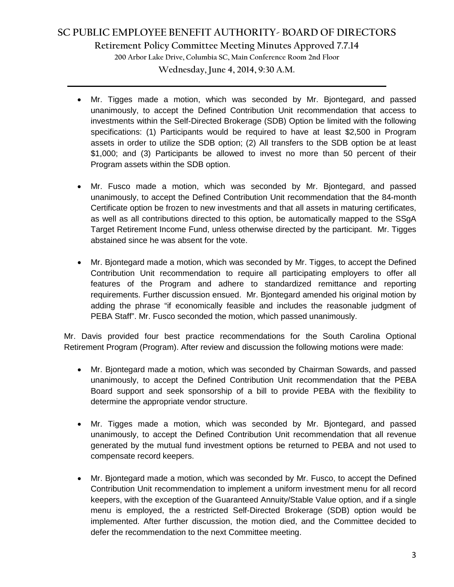**Retirement Policy Committee Meeting Minutes Approved 7.7.14**

**200 Arbor Lake Drive, Columbia SC, Main Conference Room 2nd Floor**

**Wednesday, June 4, 2014, 9:30 A.M. \_\_\_\_\_\_\_\_\_\_\_\_\_\_\_\_\_\_\_\_\_\_\_\_\_\_\_\_\_\_\_\_\_\_\_\_\_\_\_\_\_\_\_\_\_\_\_\_\_\_\_\_\_\_\_\_\_\_\_\_\_\_\_\_\_\_\_\_\_\_\_\_**

- Mr. Tigges made a motion, which was seconded by Mr. Bjontegard, and passed unanimously, to accept the Defined Contribution Unit recommendation that access to investments within the Self-Directed Brokerage (SDB) Option be limited with the following specifications: (1) Participants would be required to have at least \$2,500 in Program assets in order to utilize the SDB option; (2) All transfers to the SDB option be at least \$1,000; and (3) Participants be allowed to invest no more than 50 percent of their Program assets within the SDB option.
- Mr. Fusco made a motion, which was seconded by Mr. Bjontegard, and passed unanimously, to accept the Defined Contribution Unit recommendation that the 84-month Certificate option be frozen to new investments and that all assets in maturing certificates, as well as all contributions directed to this option, be automatically mapped to the SSgA Target Retirement Income Fund, unless otherwise directed by the participant. Mr. Tigges abstained since he was absent for the vote.
- Mr. Biontegard made a motion, which was seconded by Mr. Tigges, to accept the Defined Contribution Unit recommendation to require all participating employers to offer all features of the Program and adhere to standardized remittance and reporting requirements. Further discussion ensued. Mr. Bjontegard amended his original motion by adding the phrase "if economically feasible and includes the reasonable judgment of PEBA Staff". Mr. Fusco seconded the motion, which passed unanimously.

Mr. Davis provided four best practice recommendations for the South Carolina Optional Retirement Program (Program). After review and discussion the following motions were made:

- Mr. Bjontegard made a motion, which was seconded by Chairman Sowards, and passed unanimously, to accept the Defined Contribution Unit recommendation that the PEBA Board support and seek sponsorship of a bill to provide PEBA with the flexibility to determine the appropriate vendor structure.
- Mr. Tigges made a motion, which was seconded by Mr. Bjontegard, and passed unanimously, to accept the Defined Contribution Unit recommendation that all revenue generated by the mutual fund investment options be returned to PEBA and not used to compensate record keepers.
- Mr. Bjontegard made a motion, which was seconded by Mr. Fusco, to accept the Defined Contribution Unit recommendation to implement a uniform investment menu for all record keepers, with the exception of the Guaranteed Annuity/Stable Value option, and if a single menu is employed, the a restricted Self-Directed Brokerage (SDB) option would be implemented. After further discussion, the motion died, and the Committee decided to defer the recommendation to the next Committee meeting.